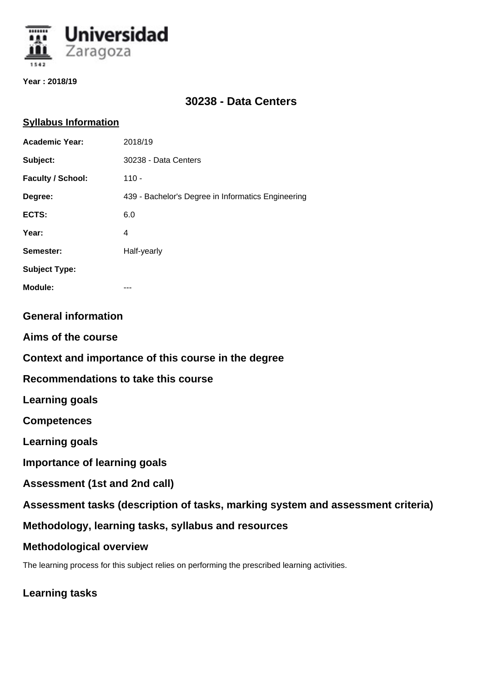

**Year : 2018/19**

# **30238 - Data Centers**

### **Syllabus Information**

| <b>Academic Year:</b>                                                           | 2018/19                                            |
|---------------------------------------------------------------------------------|----------------------------------------------------|
| Subject:                                                                        | 30238 - Data Centers                               |
| <b>Faculty / School:</b>                                                        | $110 -$                                            |
| Degree:                                                                         | 439 - Bachelor's Degree in Informatics Engineering |
| ECTS:                                                                           | 6.0                                                |
| Year:                                                                           | $\overline{4}$                                     |
| Semester:                                                                       | Half-yearly                                        |
| <b>Subject Type:</b>                                                            |                                                    |
| <b>Module:</b>                                                                  |                                                    |
| <b>General information</b>                                                      |                                                    |
| Aims of the course                                                              |                                                    |
| Context and importance of this course in the degree                             |                                                    |
| Recommendations to take this course                                             |                                                    |
| <b>Learning goals</b>                                                           |                                                    |
| <b>Competences</b>                                                              |                                                    |
| <b>Learning goals</b>                                                           |                                                    |
| <b>Importance of learning goals</b>                                             |                                                    |
| Assessment (1st and 2nd call)                                                   |                                                    |
| Assessment tasks (description of tasks, marking system and assessment criteria) |                                                    |

**Methodology, learning tasks, syllabus and resources**

## **Methodological overview**

The learning process for this subject relies on performing the prescribed learning activities.

**Learning tasks**